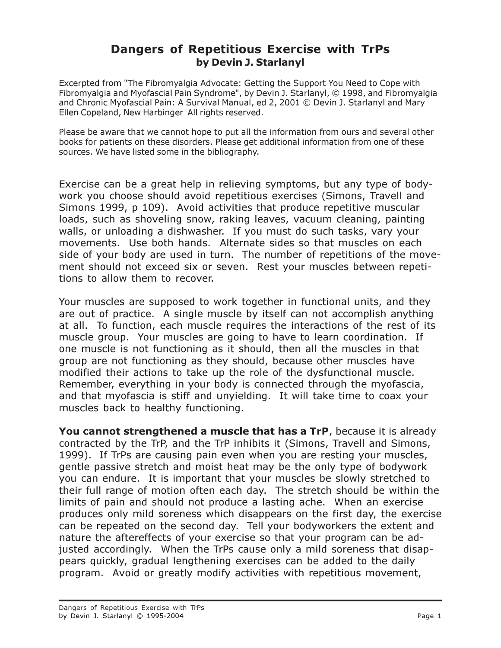## Dangers of Repetitious Exercise with TrPs by Devin J. Starlanyl

Excerpted from "The Fibromyalgia Advocate: Getting the Support You Need to Cope with Fibromyalgia and Myofascial Pain Syndrome", by Devin J. Starlanyl, © 1998, and Fibromyalgia and Chronic Myofascial Pain: A Survival Manual, ed 2, 2001 © Devin J. Starlanyl and Mary Ellen Copeland, New Harbinger All rights reserved.

Please be aware that we cannot hope to put all the information from ours and several other books for patients on these disorders. Please get additional information from one of these sources. We have listed some in the bibliography.

Exercise can be a great help in relieving symptoms, but any type of bodywork you choose should avoid repetitious exercises (Simons, Travell and Simons 1999, p 109). Avoid activities that produce repetitive muscular loads, such as shoveling snow, raking leaves, vacuum cleaning, painting walls, or unloading a dishwasher. If you must do such tasks, vary your movements. Use both hands. Alternate sides so that muscles on each side of your body are used in turn. The number of repetitions of the movement should not exceed six or seven. Rest your muscles between repetitions to allow them to recover.

Your muscles are supposed to work together in functional units, and they are out of practice. A single muscle by itself can not accomplish anything at all. To function, each muscle requires the interactions of the rest of its muscle group. Your muscles are going to have to learn coordination. If one muscle is not functioning as it should, then all the muscles in that group are not functioning as they should, because other muscles have modified their actions to take up the role of the dysfunctional muscle. Remember, everything in your body is connected through the myofascia, and that myofascia is stiff and unyielding. It will take time to coax your muscles back to healthy functioning.

You cannot strengthened a muscle that has a TrP, because it is already contracted by the TrP, and the TrP inhibits it (Simons, Travell and Simons, 1999). If TrPs are causing pain even when you are resting your muscles, gentle passive stretch and moist heat may be the only type of bodywork you can endure. It is important that your muscles be slowly stretched to their full range of motion often each day. The stretch should be within the limits of pain and should not produce a lasting ache. When an exercise produces only mild soreness which disappears on the first day, the exercise can be repeated on the second day. Tell your bodyworkers the extent and nature the aftereffects of your exercise so that your program can be adjusted accordingly. When the TrPs cause only a mild soreness that disappears quickly, gradual lengthening exercises can be added to the daily program. Avoid or greatly modify activities with repetitious movement,